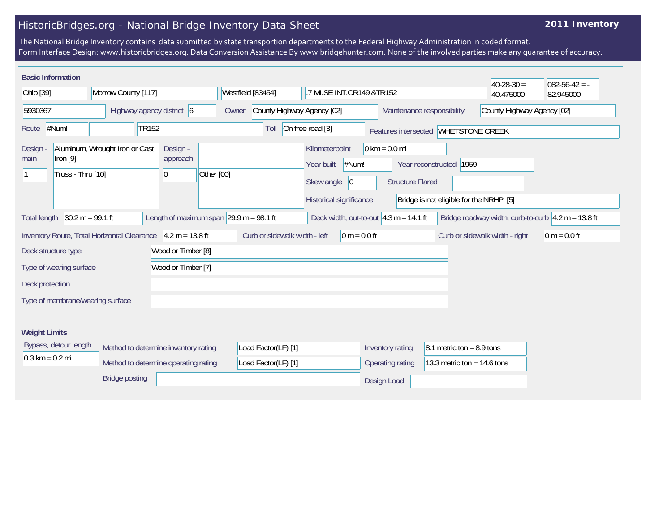## HistoricBridges.org - National Bridge Inventory Data Sheet

## **2011 Inventory**

The National Bridge Inventory contains data submitted by state transportion departments to the Federal Highway Administration in coded format. Form Interface Design: www.historicbridges.org. Data Conversion Assistance By www.bridgehunter.com. None of the involved parties make any guarantee of accuracy.

| <b>Basic Information</b>          |                                 |                                             |                                                |                                      |            |                                                                                                     |                                                                                       |                                                            |                                                                     | $40-28-30=$ | $082 - 56 - 42 = -$                                                    |  |
|-----------------------------------|---------------------------------|---------------------------------------------|------------------------------------------------|--------------------------------------|------------|-----------------------------------------------------------------------------------------------------|---------------------------------------------------------------------------------------|------------------------------------------------------------|---------------------------------------------------------------------|-------------|------------------------------------------------------------------------|--|
| Ohio [39]<br>Morrow County [117]  |                                 |                                             | Westfield [83454]<br>.7 MI.SE INT.CR149 &TR152 |                                      |            |                                                                                                     | 40.475000                                                                             | 82.945000                                                  |                                                                     |             |                                                                        |  |
| 5930367                           |                                 |                                             |                                                | Highway agency district 6            | Owner      | County Highway Agency [02]                                                                          |                                                                                       |                                                            | Maintenance responsibility                                          |             | County Highway Agency [02]                                             |  |
| Route                             | #Num!                           |                                             | <b>TR152</b>                                   |                                      |            | Toll                                                                                                | On free road [3]                                                                      |                                                            | Features intersected WHETSTONE CREEK                                |             |                                                                        |  |
| Design<br>main                    | Iron $[9]$<br>Truss - Thru [10] | Aluminum, Wrought Iron or Cast              |                                                | Design -<br>approach<br> 0           | Other [00] |                                                                                                     | Kilometerpoint<br>#Num!<br>Year built<br>Skew angle<br> 0 <br>Historical significance | $0 \text{ km} = 0.0 \text{ mi}$<br><b>Structure Flared</b> | Year reconstructed 1959<br>Bridge is not eligible for the NRHP. [5] |             |                                                                        |  |
| <b>Total length</b>               | $30.2 m = 99.1 ft$              |                                             |                                                |                                      |            | Length of maximum span $ 29.9 \text{ m} = 98.1 \text{ ft}$                                          |                                                                                       | Deck width, out-to-out $4.3$ m = 14.1 ft                   |                                                                     |             | Bridge roadway width, curb-to-curb $ 4.2 \text{ m} = 13.8 \text{ ft} $ |  |
|                                   |                                 | Inventory Route, Total Horizontal Clearance |                                                | $4.2 m = 13.8 ft$                    |            | Curb or sidewalk width - left<br>$0 m = 0.0 ft$<br>$0 m = 0.0 ft$<br>Curb or sidewalk width - right |                                                                                       |                                                            |                                                                     |             |                                                                        |  |
|                                   | Deck structure type             |                                             |                                                | Wood or Timber [8]                   |            |                                                                                                     |                                                                                       |                                                            |                                                                     |             |                                                                        |  |
|                                   | Type of wearing surface         |                                             |                                                | Wood or Timber [7]                   |            |                                                                                                     |                                                                                       |                                                            |                                                                     |             |                                                                        |  |
| Deck protection                   |                                 |                                             |                                                |                                      |            |                                                                                                     |                                                                                       |                                                            |                                                                     |             |                                                                        |  |
| Type of membrane/wearing surface  |                                 |                                             |                                                |                                      |            |                                                                                                     |                                                                                       |                                                            |                                                                     |             |                                                                        |  |
| <b>Weight Limits</b>              |                                 |                                             |                                                |                                      |            |                                                                                                     |                                                                                       |                                                            |                                                                     |             |                                                                        |  |
|                                   | Bypass, detour length           |                                             |                                                | Method to determine inventory rating |            | Load Factor(LF) [1]                                                                                 |                                                                                       | Inventory rating                                           | 8.1 metric ton = $8.9$ tons                                         |             |                                                                        |  |
| $0.3 \text{ km} = 0.2 \text{ mi}$ |                                 |                                             |                                                | Method to determine operating rating |            | Load Factor(LF) [1]                                                                                 |                                                                                       | Operating rating                                           | 13.3 metric ton = $14.6$ tons                                       |             |                                                                        |  |
|                                   |                                 | <b>Bridge posting</b>                       |                                                |                                      |            |                                                                                                     |                                                                                       | Design Load                                                |                                                                     |             |                                                                        |  |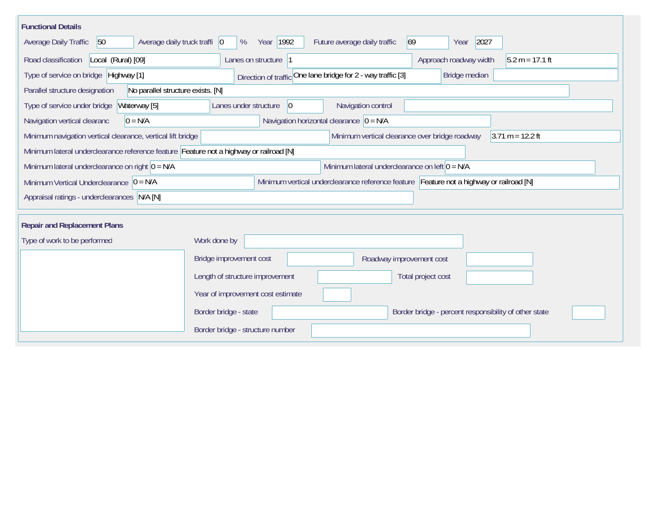| <b>Functional Details</b>                                                              |                                                                                         |
|----------------------------------------------------------------------------------------|-----------------------------------------------------------------------------------------|
| 50<br>Average daily truck traffi   0<br>Average Daily Traffic                          | Year 1992<br>Future average daily traffic<br> 69 <br>2027<br>%<br>Year                  |
| Road classification<br>Local (Rural) [09]                                              | Approach roadway width<br>$5.2 m = 17.1 ft$<br>Lanes on structure 1                     |
| Type of service on bridge Highway [1]                                                  | Direction of traffic One lane bridge for 2 - way traffic [3]<br>Bridge median           |
| Parallel structure designation<br>No parallel structure exists. [N]                    |                                                                                         |
| Type of service under bridge<br>Waterway [5]                                           | Navigation control<br> 0 <br>Lanes under structure                                      |
| $0 = N/A$<br>Navigation vertical clearanc                                              | Navigation horizontal clearance $ 0 = N/A$                                              |
| Minimum navigation vertical clearance, vertical lift bridge                            | Minimum vertical clearance over bridge roadway<br>$3.71 m = 12.2 ft$                    |
| Minimum lateral underclearance reference feature Feature not a highway or railroad [N] |                                                                                         |
| Minimum lateral underclearance on right $0 = N/A$                                      | Minimum lateral underclearance on left $0 = N/A$                                        |
| Minimum Vertical Underclearance $ 0 = N/A$                                             | Minimum vertical underclearance reference feature Feature not a highway or railroad [N] |
| Appraisal ratings - underclearances N/A [N]                                            |                                                                                         |
|                                                                                        |                                                                                         |
| <b>Repair and Replacement Plans</b>                                                    |                                                                                         |
| Type of work to be performed                                                           | Work done by                                                                            |
|                                                                                        | Bridge improvement cost<br>Roadway improvement cost                                     |
|                                                                                        | Length of structure improvement<br>Total project cost                                   |
|                                                                                        | Year of improvement cost estimate                                                       |
|                                                                                        | Border bridge - state<br>Border bridge - percent responsibility of other state          |
|                                                                                        | Border bridge - structure number                                                        |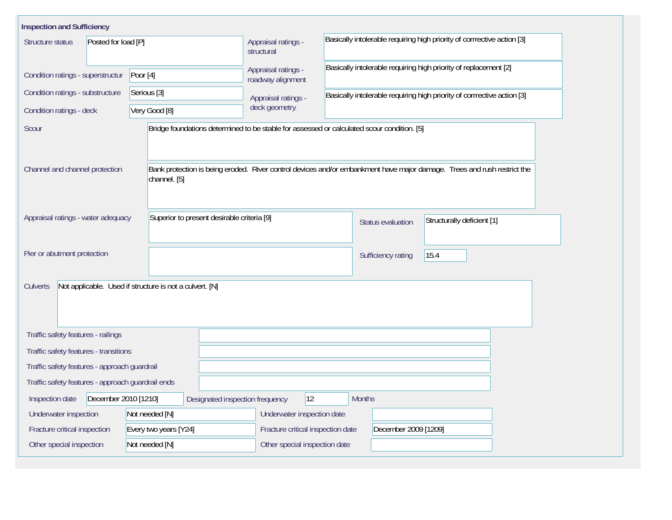| <b>Inspection and Sufficiency</b>                                   |                                            |                                          |                                                                                                                         |  |  |  |  |
|---------------------------------------------------------------------|--------------------------------------------|------------------------------------------|-------------------------------------------------------------------------------------------------------------------------|--|--|--|--|
| Structure status<br>Posted for load [P]                             |                                            | Appraisal ratings -<br>structural        | Basically intolerable requiring high priority of corrrective action [3]                                                 |  |  |  |  |
| Condition ratings - superstructur                                   | Poor $[4]$                                 | Appraisal ratings -<br>roadway alignment | Basically intolerable requiring high priority of replacement [2]                                                        |  |  |  |  |
| Condition ratings - substructure                                    | Serious [3]                                | Appraisal ratings -                      | Basically intolerable requiring high priority of corrrective action [3]                                                 |  |  |  |  |
| Condition ratings - deck                                            | Very Good [8]                              | deck geometry                            |                                                                                                                         |  |  |  |  |
| Scour                                                               |                                            |                                          | Bridge foundations determined to be stable for assessed or calculated scour condition. [5]                              |  |  |  |  |
| Channel and channel protection                                      | channel. [5]                               |                                          | Bank protection is being eroded. River control devices and/or embankment have major damage. Trees and rush restrict the |  |  |  |  |
| Appraisal ratings - water adequacy                                  | Superior to present desirable criteria [9] |                                          | Structurally deficient [1]<br><b>Status evaluation</b>                                                                  |  |  |  |  |
| Pier or abutment protection                                         |                                            |                                          | 15.4<br>Sufficiency rating                                                                                              |  |  |  |  |
| Not applicable. Used if structure is not a culvert. [N]<br>Culverts |                                            |                                          |                                                                                                                         |  |  |  |  |
| Traffic safety features - railings                                  |                                            |                                          |                                                                                                                         |  |  |  |  |
| Traffic safety features - transitions                               |                                            |                                          |                                                                                                                         |  |  |  |  |
| Traffic safety features - approach guardrail                        |                                            |                                          |                                                                                                                         |  |  |  |  |
| Traffic safety features - approach guardrail ends                   |                                            |                                          |                                                                                                                         |  |  |  |  |
| December 2010 [1210]<br>Inspection date                             | Designated inspection frequency            | $ 12\rangle$                             | <b>Months</b>                                                                                                           |  |  |  |  |
| Underwater inspection                                               | Not needed [N]                             | Underwater inspection date               |                                                                                                                         |  |  |  |  |
| Fracture critical inspection                                        | Every two years [Y24]                      | Fracture critical inspection date        | December 2009 [1209]                                                                                                    |  |  |  |  |
| Other special inspection                                            | Not needed [N]                             | Other special inspection date            |                                                                                                                         |  |  |  |  |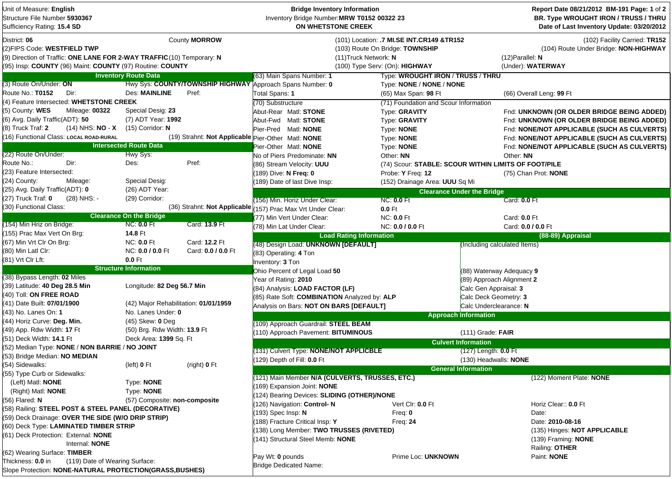| Unit of Measure: English<br>Structure File Number 5930367<br>Sufficiency Rating: 15.4 SD                                                                                           |                                       |                    | <b>Bridge Inventory Information</b><br>Inventory Bridge Number: MRW T0152 00322 23<br>ON WHETSTONE CREEK |                                                                                                                                         |                                   | Report Date 08/21/2012 BM-191 Page: 1 of 2<br>BR. Type WROUGHT IRON / TRUSS / THRU<br>Date of Last Inventory Update: 03/20/2012 |
|------------------------------------------------------------------------------------------------------------------------------------------------------------------------------------|---------------------------------------|--------------------|----------------------------------------------------------------------------------------------------------|-----------------------------------------------------------------------------------------------------------------------------------------|-----------------------------------|---------------------------------------------------------------------------------------------------------------------------------|
| District: 06<br>(2)FIPS Code: WESTFIELD TWP<br>(9) Direction of Traffic: ONE LANE FOR 2-WAY TRAFFIC (10) Temporary: N<br>(95) Insp: COUNTY (96) Maint: COUNTY (97) Routine: COUNTY |                                       | County MORROW      |                                                                                                          | (101) Location: .7 MI.SE INT.CR149 &TR152<br>(103) Route On Bridge: TOWNSHIP<br>(11) Truck Network: N<br>(100) Type Serv: (On): HIGHWAY |                                   | (102) Facility Carried: TR152<br>(104) Route Under Bridge: NON-HIGHWAY<br>$(12)$ Parallel: N<br>(Under): WATERWAY               |
|                                                                                                                                                                                    | <b>Inventory Route Data</b>           |                    | (63) Main Spans Number: 1                                                                                | Type: WROUGHT IRON / TRUSS / THRU                                                                                                       |                                   |                                                                                                                                 |
| (3) Route On/Under: ON                                                                                                                                                             |                                       |                    | Hwy Sys: COUNTY/TOWNSHIP HIGHWAY Approach Spans Number: 0                                                | Type: NONE / NONE / NONE                                                                                                                |                                   |                                                                                                                                 |
| Route No.: T0152<br>Dir:                                                                                                                                                           | <b>Des: MAINLINE</b>                  | Pref:              | Total Spans: 1                                                                                           | (65) Max Span: 98 Ft                                                                                                                    |                                   | (66) Overall Leng: 99 Ft                                                                                                        |
| (4) Feature Intersected: WHETSTONE CREEK                                                                                                                                           |                                       |                    | (70) Substructure                                                                                        | (71) Foundation and Scour Information                                                                                                   |                                   |                                                                                                                                 |
| (5) County: WES<br>Mileage: 00322                                                                                                                                                  | Special Desig: 23                     |                    | Abut-Rear Matl: STONE                                                                                    | Type: GRAVITY                                                                                                                           |                                   | Fnd: UNKNOWN (OR OLDER BRIDGE BEING ADDED)                                                                                      |
| (6) Avg. Daily Traffic(ADT): 50                                                                                                                                                    | (7) ADT Year: 1992                    |                    | Abut-Fwd Matl: STONE                                                                                     | Type: GRAVITY                                                                                                                           |                                   | Fnd: UNKNOWN (OR OLDER BRIDGE BEING ADDED)                                                                                      |
| $(14)$ NHS: NO - X<br>(8) Truck Traf: <b>2</b>                                                                                                                                     | $(15)$ Corridor: N                    |                    | Pier-Pred Matl: NONE                                                                                     | Type: <b>NONE</b>                                                                                                                       |                                   | Fnd: NONE/NOT APPLICABLE (SUCH AS CULVERTS)                                                                                     |
| (16) Functional Class: LOCAL ROAD-RURAL                                                                                                                                            |                                       |                    | (19) Strahnt: Not Applicable Pier-Other Matl: NONE                                                       | Type: NONE                                                                                                                              |                                   | Fnd: NONE/NOT APPLICABLE (SUCH AS CULVERTS)                                                                                     |
|                                                                                                                                                                                    | <b>Intersected Route Data</b>         |                    | Pier-Other Matl: NONE                                                                                    | Type: NONE                                                                                                                              |                                   | Fnd: NONE/NOT APPLICABLE (SUCH AS CULVERTS)                                                                                     |
| (22) Route On/Under:                                                                                                                                                               | Hwy Sys:                              |                    | No of Piers Predominate: NN                                                                              | Other: NN                                                                                                                               |                                   | Other: NN                                                                                                                       |
| Route No.:<br>Dir:                                                                                                                                                                 | Des:                                  | Pref:              | (86) Stream Velocity: UUU                                                                                | (74) Scour: STABLE: SCOUR WITHIN LIMITS OF FOOT/PILE                                                                                    |                                   |                                                                                                                                 |
| (23) Feature Intersected:                                                                                                                                                          |                                       |                    | (189) Dive: N Freq: 0                                                                                    | Probe: Y Freq: 12                                                                                                                       |                                   | (75) Chan Prot: NONE                                                                                                            |
| (24) County:<br>Mileage:                                                                                                                                                           | Special Desig:                        |                    | (189) Date of last Dive Insp:                                                                            | (152) Drainage Area: UUU Sq Mi                                                                                                          |                                   |                                                                                                                                 |
| (25) Avg. Daily Traffic(ADT): 0                                                                                                                                                    | (26) ADT Year:                        |                    |                                                                                                          |                                                                                                                                         | <b>Clearance Under the Bridge</b> |                                                                                                                                 |
| (27) Truck Traf: 0<br>(28) NHS: -                                                                                                                                                  | (29) Corridor:                        |                    | (156) Min. Horiz Under Clear:                                                                            | <b>NC: 0.0 Ft</b>                                                                                                                       |                                   | Card: 0.0 Ft                                                                                                                    |
| (30) Functional Class:                                                                                                                                                             |                                       |                    | (36) Strahnt: Not Applicable (157) Prac Max Vrt Under Clear:                                             | $0.0$ Ft                                                                                                                                |                                   |                                                                                                                                 |
|                                                                                                                                                                                    | <b>Clearance On the Bridge</b>        |                    | (77) Min Vert Under Clear:                                                                               | <b>NC: 0.0 Ft</b>                                                                                                                       |                                   | Card: 0.0 Ft                                                                                                                    |
| (154) Min Hriz on Bridge:                                                                                                                                                          | <b>NC: 0.0 Ft</b>                     | Card: 13.9 Ft      | (78) Min Lat Under Clear:                                                                                | NC: 0.0 / 0.0 Ft                                                                                                                        |                                   | Card: 0.0 / 0.0 Ft                                                                                                              |
| (155) Prac Max Vert On Brg:                                                                                                                                                        | 14.8 Ft                               |                    | <b>Load Rating Information</b>                                                                           |                                                                                                                                         |                                   | (88-89) Appraisal                                                                                                               |
| (67) Min Vrt Clr On Brg:                                                                                                                                                           | <b>NC: 0.0 Ft</b>                     | Card: 12.2 Ft      | (48) Design Load: UNKNOWN [DEFAULT]                                                                      |                                                                                                                                         | (Including calculated Items)      |                                                                                                                                 |
| (80) Min Latl Clr:                                                                                                                                                                 | NC: 0.0 / 0.0 Ft                      | Card: 0.0 / 0.0 Ft | (83) Operating: 4 Ton                                                                                    |                                                                                                                                         |                                   |                                                                                                                                 |
| (81) Vrt Clr Lft:                                                                                                                                                                  | $0.0$ Ft                              |                    | Inventory: 3 Ton                                                                                         |                                                                                                                                         |                                   |                                                                                                                                 |
|                                                                                                                                                                                    | <b>Structure Information</b>          |                    | Ohio Percent of Legal Load 50                                                                            |                                                                                                                                         | (88) Waterway Adequacy 9          |                                                                                                                                 |
| (38) Bypass Length: 02 Miles                                                                                                                                                       |                                       |                    | Year of Rating: 2010                                                                                     |                                                                                                                                         | (89) Approach Alignment 2         |                                                                                                                                 |
| (39) Latitude: 40 Deg 28.5 Min                                                                                                                                                     | Longitude: 82 Deg 56.7 Min            |                    | (84) Analysis: LOAD FACTOR (LF)                                                                          |                                                                                                                                         | Calc Gen Appraisal: 3             |                                                                                                                                 |
| (40) Toll: ON FREE ROAD                                                                                                                                                            |                                       |                    | (85) Rate Soft: COMBINATION Analyzed by: ALP                                                             |                                                                                                                                         | Calc Deck Geometry: 3             |                                                                                                                                 |
| (41) Date Built: 07/01/1900                                                                                                                                                        | (42) Major Rehabilitation: 01/01/1959 |                    | Analysis on Bars: NOT ON BARS [DEFAULT]                                                                  |                                                                                                                                         | Calc Underclearance: N            |                                                                                                                                 |
| (43)  No. Lanes On: <b>1</b>                                                                                                                                                       | No. Lanes Under: 0                    |                    |                                                                                                          |                                                                                                                                         | <b>Approach Information</b>       |                                                                                                                                 |
| (44) Horiz Curve: Deg. Min.                                                                                                                                                        | $(45)$ Skew: 0 Deg                    |                    | (109) Approach Guardrail: STEEL BEAM                                                                     |                                                                                                                                         |                                   |                                                                                                                                 |
| (49) App. Rdw Width: 17 Ft                                                                                                                                                         | (50) Brg. Rdw Width: 13.9 Ft          |                    | (110) Approach Pavement: BITUMINOUS                                                                      |                                                                                                                                         | $(111)$ Grade: FAIR               |                                                                                                                                 |
| (51) Deck Width: 14.1 Ft                                                                                                                                                           | Deck Area: 1399 Sq. Ft                |                    |                                                                                                          |                                                                                                                                         | <b>Culvert Information</b>        |                                                                                                                                 |
| (52) Median Type: NONE / NON BARRIE / NO JOINT                                                                                                                                     |                                       |                    | (131) Culvert Type: NONE/NOT APPLICBLE                                                                   |                                                                                                                                         | $(127)$ Length: $0.0$ Ft          |                                                                                                                                 |
| (53) Bridge Median: NO MEDIAN                                                                                                                                                      |                                       |                    | (129) Depth of Fill: 0.0 Ft                                                                              |                                                                                                                                         | (130) Headwalls: NONE             |                                                                                                                                 |
| (54) Sidewalks:                                                                                                                                                                    | (left) <b>0</b> Ft                    | (right) 0 Ft       |                                                                                                          |                                                                                                                                         | <b>General Information</b>        |                                                                                                                                 |
| (55) Type Curb or Sidewalks:                                                                                                                                                       |                                       |                    | (121) Main Member N/A (CULVERTS, TRUSSES, ETC.)                                                          |                                                                                                                                         |                                   | (122) Moment Plate: NONE                                                                                                        |
| (Left) Matl: <b>NONE</b>                                                                                                                                                           | Type: NONE<br>Type: NONE              |                    | (169) Expansion Joint: NONE                                                                              |                                                                                                                                         |                                   |                                                                                                                                 |
| (Right) Matl: <b>NONE</b><br>(56) Flared: N                                                                                                                                        |                                       |                    | 124) Bearing Devices: SLIDING (OTHER)/NONE                                                               |                                                                                                                                         |                                   |                                                                                                                                 |
|                                                                                                                                                                                    | (57) Composite: non-composite         |                    | (126) Navigation: Control-N                                                                              | Vert Clr: 0.0 Ft                                                                                                                        |                                   | Horiz Clear:: 0.0 Ft                                                                                                            |
| (58) Railing: STEEL POST & STEEL PANEL (DECORATIVE)<br>(59) Deck Drainage: OVER THE SIDE (W/O DRIP STRIP)                                                                          |                                       |                    | $(193)$ Spec Insp: N<br>Freq: $0$                                                                        |                                                                                                                                         |                                   | Date:                                                                                                                           |
| (60) Deck Type: LAMINATED TIMBER STRIP                                                                                                                                             |                                       |                    | 188) Fracture Critical Insp: Y<br>Freq: 24                                                               |                                                                                                                                         |                                   | Date: 2010-08-16                                                                                                                |
| (61) Deck Protection: External: NONE                                                                                                                                               |                                       |                    | 138) Long Member: TWO TRUSSES (RIVETED)                                                                  |                                                                                                                                         |                                   | (135) Hinges: NOT APPLICABLE                                                                                                    |
| Internal: NONE                                                                                                                                                                     |                                       |                    | (141) Structural Steel Memb: NONE                                                                        |                                                                                                                                         |                                   | (139) Framing: <b>NONE</b>                                                                                                      |
| (62) Wearing Surface: TIMBER                                                                                                                                                       |                                       |                    |                                                                                                          |                                                                                                                                         |                                   | Railing: OTHER                                                                                                                  |
| (119) Date of Wearing Surface:<br>Thickness: 0.0 in                                                                                                                                |                                       |                    | Pay Wt: 0 pounds                                                                                         | Prime Loc: UNKNOWN                                                                                                                      |                                   | Paint: NONE                                                                                                                     |
| Slope Protection: NONE-NATURAL PROTECTION(GRASS, BUSHES)                                                                                                                           |                                       |                    | <b>Bridge Dedicated Name:</b>                                                                            |                                                                                                                                         |                                   |                                                                                                                                 |
|                                                                                                                                                                                    |                                       |                    |                                                                                                          |                                                                                                                                         |                                   |                                                                                                                                 |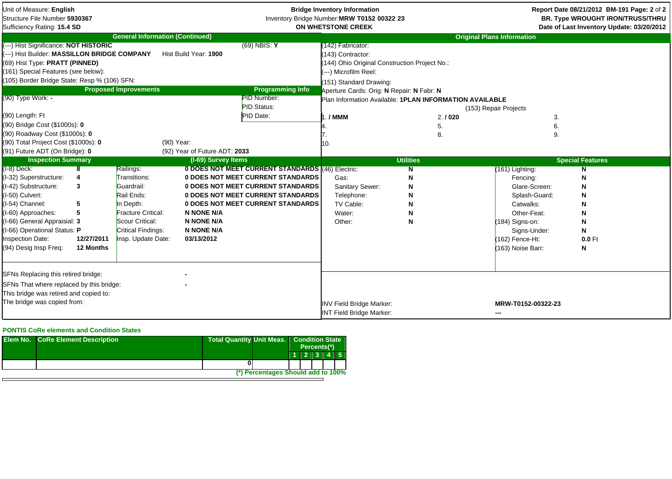| Unit of Measure: English<br>Structure File Number 5930367<br>Sufficiency Rating: 15.4 SD                                                                                                                                                                                                |            |                                        |                               |                                                                                                    | <b>Bridge Inventory Information</b><br>Inventory Bridge Number: MRW T0152 00322 23<br>ON WHETSTONE CREEK                                                                                                                                                       |                  |                                                | Report Date 08/21/2012 BM-191 Page: 2 of 2<br>BR. Type WROUGHT IRON/TRUSS/THRU<br>Date of Last Inventory Update: 03/20/2012 |
|-----------------------------------------------------------------------------------------------------------------------------------------------------------------------------------------------------------------------------------------------------------------------------------------|------------|----------------------------------------|-------------------------------|----------------------------------------------------------------------------------------------------|----------------------------------------------------------------------------------------------------------------------------------------------------------------------------------------------------------------------------------------------------------------|------------------|------------------------------------------------|-----------------------------------------------------------------------------------------------------------------------------|
|                                                                                                                                                                                                                                                                                         |            | <b>General Information (Continued)</b> |                               |                                                                                                    |                                                                                                                                                                                                                                                                |                  | <b>Original Plans Information</b>              |                                                                                                                             |
| (---) Hist Significance: NOT HISTORIC<br>(---) Hist Builder: MASSILLON BRIDGE COMPANY<br>(69) Hist Type: PRATT (PINNED)<br>(161) Special Features (see below):<br>(105) Border Bridge State: Resp % (106) SFN:<br>(90) Type Work: -<br>(90) Length: Ft<br>(90) Bridge Cost (\$1000s): 0 |            | <b>Proposed Improvements</b>           | Hist Build Year: 1900         | $(69)$ NBIS: Y<br><b>Programming Info</b><br><b>PID Number:</b><br><b>PID Status:</b><br>PID Date: | (142) Fabricator:<br>143) Contractor:<br>(144) Ohio Original Construction Project No.:<br>(---) Microfilm Reel:<br>(151) Standard Drawing:<br>Aperture Cards: Orig: N Repair: N Fabr: N<br>Plan Information Available: 1PLAN INFORMATION AVAILABLE<br>$.7$ MMM | 2.1020<br>5.     | (153) Repair Projects<br>3.<br>6.              |                                                                                                                             |
| (90) Roadway Cost (\$1000s): 0                                                                                                                                                                                                                                                          |            |                                        |                               |                                                                                                    |                                                                                                                                                                                                                                                                | 8.               | 9.                                             |                                                                                                                             |
| (90) Total Project Cost (\$1000s): 0                                                                                                                                                                                                                                                    |            |                                        | (90) Year:                    |                                                                                                    | 10.                                                                                                                                                                                                                                                            |                  |                                                |                                                                                                                             |
| (91) Future ADT (On Bridge): 0                                                                                                                                                                                                                                                          |            |                                        | (92) Year of Future ADT: 2033 |                                                                                                    |                                                                                                                                                                                                                                                                |                  |                                                |                                                                                                                             |
| <b>Inspection Summary</b>                                                                                                                                                                                                                                                               |            |                                        | (I-69) Survey Items           |                                                                                                    |                                                                                                                                                                                                                                                                | <b>Utilities</b> |                                                | <b>Special Features</b>                                                                                                     |
| (I-8) Deck:                                                                                                                                                                                                                                                                             | 8          | Railings:                              |                               | 0 DOES NOT MEET CURRENT STANDARDS (46) Electric:                                                   |                                                                                                                                                                                                                                                                | N                | (161) Lighting:                                |                                                                                                                             |
| (I-32) Superstructure:                                                                                                                                                                                                                                                                  | 4          | Transitions:                           |                               | 0 DOES NOT MEET CURRENT STANDARDS                                                                  | Gas:                                                                                                                                                                                                                                                           | N                | Fencing:                                       | N                                                                                                                           |
| (I-42) Substructure:                                                                                                                                                                                                                                                                    | 3          | Guardrail:                             |                               | 0 DOES NOT MEET CURRENT STANDARDS                                                                  | Sanitary Sewer:                                                                                                                                                                                                                                                | N                | Glare-Screen:                                  |                                                                                                                             |
| (I-50) Culvert:                                                                                                                                                                                                                                                                         |            | Rail Ends:                             |                               | 0 DOES NOT MEET CURRENT STANDARDS                                                                  | Telephone:                                                                                                                                                                                                                                                     | N                | Splash-Guard:                                  |                                                                                                                             |
| I-54) Channel:                                                                                                                                                                                                                                                                          | 5          | In Depth:                              |                               | 0 DOES NOT MEET CURRENT STANDARDS                                                                  | TV Cable:                                                                                                                                                                                                                                                      |                  | Catwalks:                                      |                                                                                                                             |
| (I-60) Approaches:                                                                                                                                                                                                                                                                      | 5          | Fracture Critical:                     | <b>N NONE N/A</b>             |                                                                                                    | Water:                                                                                                                                                                                                                                                         |                  | Other-Feat:                                    | N                                                                                                                           |
| (I-66) General Appraisial: 3                                                                                                                                                                                                                                                            |            | Scour Critical:                        | <b>N NONE N/A</b>             |                                                                                                    | Other:                                                                                                                                                                                                                                                         | N                | (184) Signs-on:                                | N                                                                                                                           |
| I-66) Operational Status: P                                                                                                                                                                                                                                                             |            | Critical Findings:                     | <b>N NONE N/A</b>             |                                                                                                    |                                                                                                                                                                                                                                                                |                  | Signs-Under:                                   | N                                                                                                                           |
| nspection Date:                                                                                                                                                                                                                                                                         | 12/27/2011 | Insp. Update Date:                     | 03/13/2012                    |                                                                                                    |                                                                                                                                                                                                                                                                |                  | (162) Fence-Ht:                                | 0.0 Ft                                                                                                                      |
| (94) Desig Insp Freq:                                                                                                                                                                                                                                                                   | 12 Months  |                                        |                               |                                                                                                    |                                                                                                                                                                                                                                                                |                  | (163) Noise Barr:                              | N                                                                                                                           |
|                                                                                                                                                                                                                                                                                         |            |                                        |                               |                                                                                                    |                                                                                                                                                                                                                                                                |                  |                                                |                                                                                                                             |
|                                                                                                                                                                                                                                                                                         |            |                                        |                               |                                                                                                    |                                                                                                                                                                                                                                                                |                  |                                                |                                                                                                                             |
| SFNs Replacing this retired bridge:                                                                                                                                                                                                                                                     |            |                                        |                               |                                                                                                    |                                                                                                                                                                                                                                                                |                  |                                                |                                                                                                                             |
| SFNs That where replaced by this bridge:                                                                                                                                                                                                                                                |            |                                        |                               |                                                                                                    |                                                                                                                                                                                                                                                                |                  |                                                |                                                                                                                             |
| This bridge was retired and copied to:                                                                                                                                                                                                                                                  |            |                                        |                               |                                                                                                    |                                                                                                                                                                                                                                                                |                  |                                                |                                                                                                                             |
| The bridge was copied from:                                                                                                                                                                                                                                                             |            |                                        |                               |                                                                                                    | <b>INV Field Bridge Marker:</b><br><b>INT Field Bridge Marker:</b>                                                                                                                                                                                             |                  | MRW-T0152-00322-23<br>$\overline{\phantom{a}}$ |                                                                                                                             |

## **PONTIS CoRe elements and Condition States**

| <b>Elem No. CoRe Element Description</b> |                                    | Total Quantity Unit Meas.   Condition State<br>Percents(*) |  |         |  |  |
|------------------------------------------|------------------------------------|------------------------------------------------------------|--|---------|--|--|
|                                          |                                    |                                                            |  | 1213145 |  |  |
|                                          |                                    |                                                            |  |         |  |  |
|                                          | (*) Percentages Should add to 100% |                                                            |  |         |  |  |
|                                          |                                    |                                                            |  |         |  |  |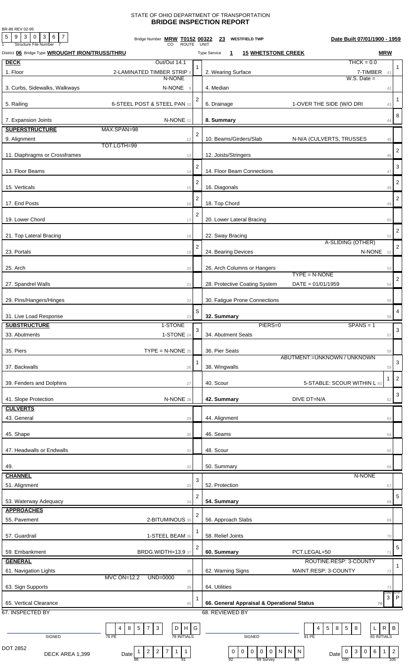## STATE OF OHIO DEPARTMENT OF TRANSPORTATION **BRIDGE INSPECTION REPORT**

BR-86 REV 02-95

| $5 \mid 9 \mid 3 \mid 0$<br>$3 \mid 6 \mid 7$<br><b>Structure File Number</b> | Bridge Number MRW T0152 00322<br><b>ROUTE</b>                                          |                | <b>WESTFIELD TWP</b><br>Date Built 07/01/1900 - 1959<br><u>23</u><br><b>UNIT</b>                                                                                                                            |                           |
|-------------------------------------------------------------------------------|----------------------------------------------------------------------------------------|----------------|-------------------------------------------------------------------------------------------------------------------------------------------------------------------------------------------------------------|---------------------------|
| District 06 Bridge Type WROUGHT IRON/TRUSS/THRU                               |                                                                                        |                | <b>MRW</b><br><b>15 WHETSTONE CREEK</b><br><b>Type Service</b><br>$\mathbf{1}$                                                                                                                              |                           |
| <b>DECK</b>                                                                   | Out/Out 14.1                                                                           |                | $THCK = 0.0$                                                                                                                                                                                                |                           |
| 1. Floor                                                                      | 2-LAMINATED TIMBER STRIP 8                                                             |                | 2. Wearing Surface<br>7-TIMBER 41                                                                                                                                                                           | -1                        |
|                                                                               | N-NONE                                                                                 |                | $W.S.$ Date $=$                                                                                                                                                                                             |                           |
| 3. Curbs, Sidewalks, Walkways                                                 | N-NONE<br>9                                                                            |                | 4. Median<br>42                                                                                                                                                                                             |                           |
|                                                                               |                                                                                        | 2              |                                                                                                                                                                                                             | $\mathbf{1}$              |
| 5. Railing                                                                    | 6-STEEL POST & STEEL PAN 10                                                            |                | 6. Drainage<br>1-OVER THE SIDE (W/O DRI<br>43                                                                                                                                                               |                           |
| 7. Expansion Joints                                                           | N-NONE 11                                                                              |                | 8. Summary<br>44                                                                                                                                                                                            | 8                         |
| <b>SUPERSTRUCTURE</b>                                                         | MAX.SPAN=98                                                                            |                |                                                                                                                                                                                                             |                           |
| 9. Alignment                                                                  | 12                                                                                     | $\overline{2}$ | 10. Beams/Girders/Slab<br>N-N/A (CULVERTS, TRUSSES<br>45                                                                                                                                                    |                           |
|                                                                               | TOT.LGTH=99                                                                            |                |                                                                                                                                                                                                             | $\overline{2}$            |
| 11. Diaphragms or Crossframes                                                 | 13                                                                                     |                | 12. Joists/Stringers<br>46                                                                                                                                                                                  |                           |
|                                                                               |                                                                                        | $\overline{2}$ |                                                                                                                                                                                                             | 3                         |
| 13. Floor Beams                                                               | 14                                                                                     |                | 14. Floor Beam Connections<br>47                                                                                                                                                                            |                           |
| 15. Verticals                                                                 | 15                                                                                     | $\overline{2}$ | 16. Diagonals<br>48                                                                                                                                                                                         | $\overline{2}$            |
|                                                                               |                                                                                        |                |                                                                                                                                                                                                             |                           |
| 17. End Posts                                                                 | 16                                                                                     | $\overline{2}$ | 18. Top Chord<br>49                                                                                                                                                                                         | $\overline{2}$            |
|                                                                               |                                                                                        | $\overline{2}$ |                                                                                                                                                                                                             |                           |
| 19. Lower Chord                                                               | 17                                                                                     |                | 20. Lower Lateral Bracing<br>50                                                                                                                                                                             |                           |
|                                                                               |                                                                                        |                |                                                                                                                                                                                                             | $\overline{\mathbf{c}}$   |
| 21. Top Lateral Bracing                                                       | 18                                                                                     |                | 22. Sway Bracing<br>51<br>A-SLIDING (OTHER)                                                                                                                                                                 |                           |
| 23. Portals                                                                   | 19                                                                                     | $\overline{2}$ | N-NONE 52<br>24. Bearing Devices                                                                                                                                                                            | $\overline{2}$            |
|                                                                               |                                                                                        |                |                                                                                                                                                                                                             |                           |
| 25. Arch                                                                      | 20                                                                                     |                | 26. Arch Columns or Hangers<br>53                                                                                                                                                                           |                           |
|                                                                               |                                                                                        |                | $TYPE = N-NONE$                                                                                                                                                                                             | $\overline{2}$            |
| 27. Spandrel Walls                                                            | 21                                                                                     |                | 28. Protective Coating System<br>$DATA = 01/01/1959$<br>54                                                                                                                                                  |                           |
| 29. Pins/Hangers/Hinges                                                       | 22                                                                                     |                | 30. Fatigue Prone Connections<br>55                                                                                                                                                                         |                           |
|                                                                               |                                                                                        |                |                                                                                                                                                                                                             |                           |
| 31. Live Load Response                                                        | 23                                                                                     | S              | 32. Summary<br>56                                                                                                                                                                                           | 4                         |
| <b>SUBSTRUCTURE</b>                                                           | 1-STONE                                                                                |                | PIERS=0<br>$SPANS = 1$                                                                                                                                                                                      |                           |
| 33. Abutments                                                                 | 1-STONE 24                                                                             | $\mathbf{3}$   | 34. Abutment Seats<br>57                                                                                                                                                                                    | $\sqrt{3}$                |
|                                                                               |                                                                                        |                |                                                                                                                                                                                                             |                           |
| 35. Piers                                                                     | $\mathsf{TYPE} = \mathsf{N}\text{-}\mathsf{NONE}$ 25                                   |                | 36. Pier Seats<br>58                                                                                                                                                                                        |                           |
|                                                                               |                                                                                        |                | ABUTMENT:=UNKNOWN / UNKNOWN                                                                                                                                                                                 | 3                         |
| 37. Backwalls                                                                 | 26                                                                                     |                | 38. Wingwalls<br>59                                                                                                                                                                                         |                           |
| 39. Fenders and Dolphins                                                      | 27                                                                                     |                | -1<br>40. Scour<br>5-STABLE: SCOUR WITHIN L 60                                                                                                                                                              | $\overline{c}$            |
|                                                                               |                                                                                        |                |                                                                                                                                                                                                             | $\ensuremath{\mathsf{3}}$ |
| 41. Slope Protection                                                          | N-NONE 28                                                                              |                | 42. Summary<br>DIVE DT=N/A<br>62                                                                                                                                                                            |                           |
| <b>CULVERTS</b>                                                               |                                                                                        |                |                                                                                                                                                                                                             |                           |
| 43. General                                                                   | 29                                                                                     |                | 44. Alignment<br>63                                                                                                                                                                                         |                           |
|                                                                               |                                                                                        |                |                                                                                                                                                                                                             |                           |
| 45. Shape                                                                     | 30                                                                                     |                | 46. Seams<br>64                                                                                                                                                                                             |                           |
| 47. Headwalls or Endwalls                                                     | 31                                                                                     |                | 48. Scour<br>65                                                                                                                                                                                             |                           |
|                                                                               |                                                                                        |                |                                                                                                                                                                                                             |                           |
| 49.                                                                           | 32                                                                                     |                | 50. Summary<br>66                                                                                                                                                                                           |                           |
| <b>CHANNEL</b>                                                                |                                                                                        | 3              | N-NONE                                                                                                                                                                                                      |                           |
| 51. Alignment                                                                 | 33                                                                                     |                | 52. Protection<br>67                                                                                                                                                                                        |                           |
|                                                                               |                                                                                        | 2              |                                                                                                                                                                                                             | 5                         |
| 53. Waterway Adequacy<br><b>APPROACHES</b>                                    | 34                                                                                     |                | 54. Summary<br>68                                                                                                                                                                                           |                           |
|                                                                               |                                                                                        | 2              |                                                                                                                                                                                                             |                           |
| 55. Pavement                                                                  | 2-BITUMINOUS 35                                                                        |                | 56. Approach Slabs<br>69                                                                                                                                                                                    |                           |
| 57. Guardrail                                                                 | 1-STEEL BEAM 36                                                                        |                | 58. Relief Joints<br>70                                                                                                                                                                                     |                           |
|                                                                               |                                                                                        | 2              |                                                                                                                                                                                                             | 5                         |
| 59. Embankment                                                                | BRDG.WIDTH=13.9 37                                                                     |                | 60. Summary<br>PCT.LEGAL=50<br>71                                                                                                                                                                           |                           |
| <b>GENERAL</b>                                                                |                                                                                        |                | ROUTINE.RESP: 3-COUNTY                                                                                                                                                                                      | $\mathbf{1}$              |
| 61. Navigation Lights                                                         | 38                                                                                     |                | 62. Warning Signs<br>MAINT.RESP: 3-COUNTY<br>72                                                                                                                                                             |                           |
|                                                                               | MVC ON=12.2<br>UND=0000                                                                |                |                                                                                                                                                                                                             |                           |
| 63. Sign Supports                                                             | 39                                                                                     |                | 64. Utilities<br>73<br>COND:                                                                                                                                                                                | STA1                      |
| 65. Vertical Clearance                                                        | 40                                                                                     |                | 3<br>66. General Appraisal & Operational Status<br>74                                                                                                                                                       | $\mathsf{P}$              |
| 67. INSPECTED BY                                                              |                                                                                        |                | 68. REVIEWED BY                                                                                                                                                                                             |                           |
|                                                                               |                                                                                        |                |                                                                                                                                                                                                             |                           |
|                                                                               | $H$ $G$<br>$5\phantom{.0}$<br>$\mathbf{3}$<br>$\mathsf D$<br>8<br>7<br>4               |                | B<br>$5\phantom{.0}$<br>$\vert 5 \vert$<br>8<br>$\mathsf{R}$<br>4<br>8<br>L                                                                                                                                 |                           |
| SIGNED                                                                        | <b>78 INITIALS</b><br>76 PE                                                            |                | 83 INITIALS<br>SIGNED<br>81 PE                                                                                                                                                                              |                           |
| DOT 2852                                                                      | $\overline{1}$<br>$\overline{2}$<br>1 <sup>1</sup><br>$\overline{2}$<br>$\overline{7}$ |                | $6\overline{6}$<br>$\overline{2}$<br>$\mathsf 0$<br>$\boldsymbol{0}$<br>$\overline{0}$<br>N<br>$\bf{0}$<br>$\overline{0}$<br>N<br>$\overline{\phantom{a}}$ N<br>$\mathbf{3}$<br>$\mathbf 0$<br>$\mathbf{1}$ |                           |
| DECK AREA 1,399                                                               | 1<br>Date<br>91<br>86                                                                  |                | 0<br>Date<br>69 Survey<br>105<br>92<br>99<br>100                                                                                                                                                            |                           |